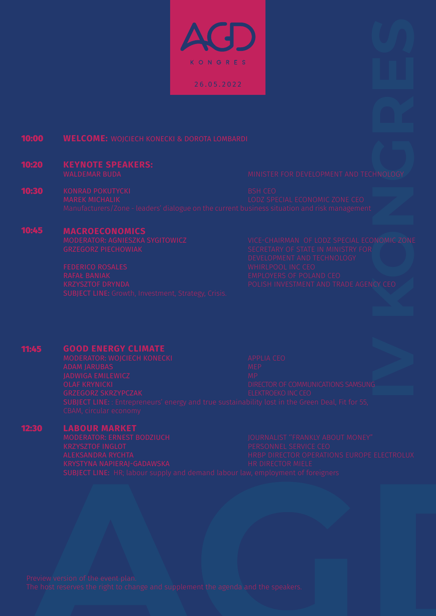KONGRES 26.05.2022

#### 10:00 **WELCOME:** WOJCIECH KONECKI & DOROTA LOMBARDI

## 10:20 **KEYNOTE SPEAKERS:**

10:30 KONRAD POKUTYCKI BSH CEO<br>MAREK MICHALIK BSH CEO BOOT SPEAK BSH CEO

### 10:45 **MACROECONOMICS**

MODERATOR: AGNIESZKA SYGITOWICZ VICE-CHAIRMAN OF LODZ SPECIAL ECONOMIC ZONE

### 11:45 **GOOD ENERGY CLIMATE**

JADWIGA EMILEWICZ MP

# 12:30

**LABOUR MARKET**<br>**MODERATOR: ERNEST BODZIUCH**